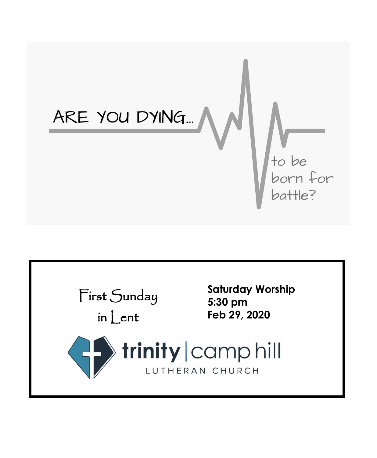

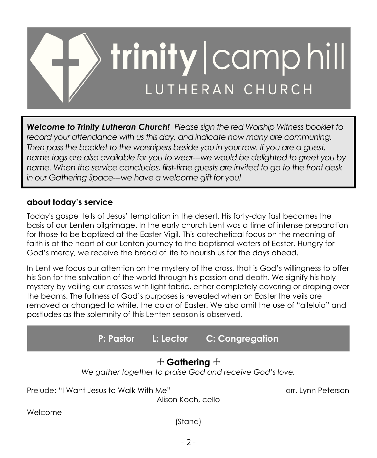

*Welcome to Trinity Lutheran Church! Please sign the red Worship Witness booklet to record your attendance with us this day, and indicate how many are communing. Then pass the booklet to the worshipers beside you in your row. If you are a guest, name tags are also available for you to wear---we would be delighted to greet you by name. When the service concludes, first-time guests are invited to go to the front desk in our Gathering Space---we have a welcome gift for you!*

## **about today's service**

Today's gospel tells of Jesus' temptation in the desert. His forty-day fast becomes the basis of our Lenten pilgrimage. In the early church Lent was a time of intense preparation for those to be baptized at the Easter Vigil. This catechetical focus on the meaning of faith is at the heart of our Lenten journey to the baptismal waters of Easter. Hungry for God's mercy, we receive the bread of life to nourish us for the days ahead.

In Lent we focus our attention on the mystery of the cross, that is God's willingness to offer his Son for the salvation of the world through his passion and death. We signify his holy mystery by veiling our crosses with light fabric, either completely covering or draping over the beams. The fullness of God's purposes is revealed when on Easter the veils are removed or changed to white, the color of Easter. We also omit the use of "alleluia" and postludes as the solemnity of this Lenten season is observed.

+ **Gathering** + *We gather together to praise God and receive God's love.* Prelude: "I Want Jesus to Walk With Me" arr. Lynn Peterson Alison Koch, cello Welcome **P: Pastor L: Lector C: Congregation**

(Stand)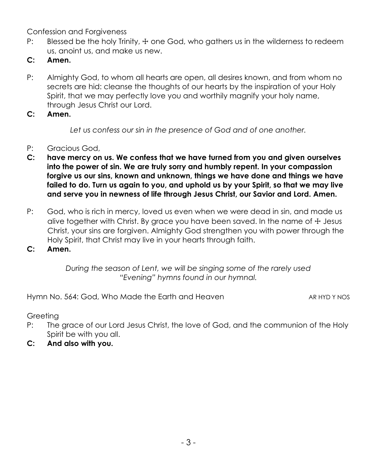Confession and Forgiveness

- P: Blessed be the holy Trinity,  $\pm$  one God, who gathers us in the wilderness to redeem us, anoint us, and make us new.
- **C: Amen.**
- P: Almighty God, to whom all hearts are open, all desires known, and from whom no secrets are hid: cleanse the thoughts of our hearts by the inspiration of your Holy Spirit, that we may perfectly love you and worthily magnify your holy name, through Jesus Christ our Lord.
- **C: Amen.**

*Let us confess our sin in the presence of God and of one another.*

- P: Gracious God,
- **C: have mercy on us. We confess that we have turned from you and given ourselves into the power of sin. We are truly sorry and humbly repent. In your compassion forgive us our sins, known and unknown, things we have done and things we have failed to do. Turn us again to you, and uphold us by your Spirit, so that we may live and serve you in newness of life through Jesus Christ, our Savior and Lord. Amen.**
- P: God, who is rich in mercy, loved us even when we were dead in sin, and made us alive together with Christ. By grace you have been saved. In the name of  $\pm$  Jesus Christ, your sins are forgiven. Almighty God strengthen you with power through the Holy Spirit, that Christ may live in your hearts through faith.
- **C: Amen.**

*During the season of Lent, we will be singing some of the rarely used "Evening" hymns found in our hymnal.*

Hymn No. 564: God, Who Made the Earth and Heaven AR HYD Y NOS

**Greeting** 

- P: The grace of our Lord Jesus Christ, the love of God, and the communion of the Holy Spirit be with you all.
- **C: And also with you.**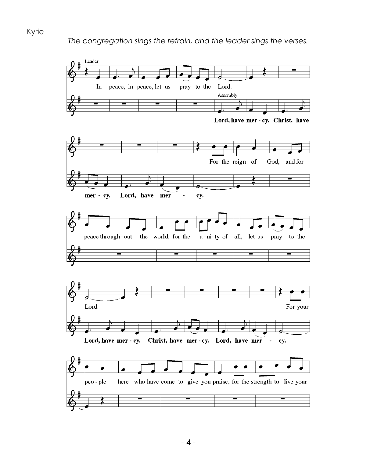

#### Kyrie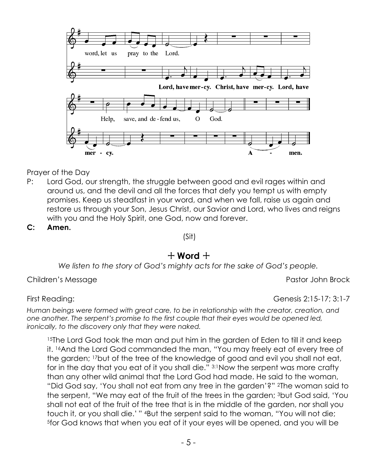

- P: Lord God, our strength, the struggle between good and evil rages within and around us, and the devil and all the forces that defy you tempt us with empty promises. Keep us steadfast in your word, and when we fall, raise us again and restore us through your Son, Jesus Christ, our Savior and Lord, who lives and reigns with you and the Holy Spirit, one God, now and forever.
- **C: Amen.**

(Sit)

#### $+$  Word  $+$

*We listen to the story of God's mighty acts for the sake of God's people.*

Children's Message **Pastor John Brock** Pastor John Brock

First Reading: Genesis 2:15-17; 3:1-7

*Human beings were formed with great care, to be in relationship with the creator, creation, and one another. The serpent's promise to the first couple that their eyes would be opened led, ironically, to the discovery only that they were naked.*

<sup>15</sup>The Lord God took the man and put him in the garden of Eden to till it and keep it. 16And the Lord God commanded the man, "You may freely eat of every tree of the garden; 17but of the tree of the knowledge of good and evil you shall not eat, for in the day that you eat of it you shall die." 3:1Now the serpent was more crafty than any other wild animal that the Lord God had made. He said to the woman, "Did God say, 'You shall not eat from any tree in the garden'?" 2The woman said to the serpent, "We may eat of the fruit of the trees in the garden; 3but God said, 'You shall not eat of the fruit of the tree that is in the middle of the garden, nor shall you touch it, or you shall die.' " <sup>4</sup>But the serpent said to the woman, "You will not die; 5for God knows that when you eat of it your eyes will be opened, and you will be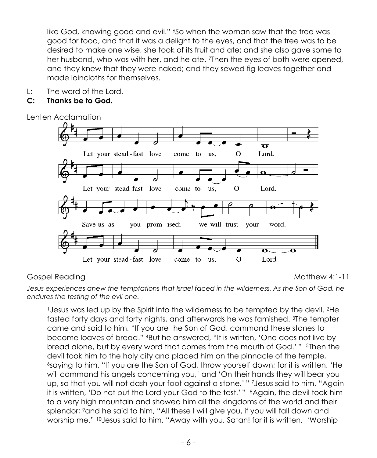like God, knowing good and evil." 'So when the woman saw that the tree was good for food, and that it was a delight to the eyes, and that the tree was to be desired to make one wise, she took of its fruit and ate; and she also gave some to her husband, who was with her, and he ate. 7Then the eyes of both were opened, and they knew that they were naked; and they sewed fig leaves together and made loincloths for themselves.

L: The word of the Lord.

#### **C: Thanks be to God.**

Lenten Acclamation



# Gospel Reading Matthew 4:1-11

*Jesus experiences anew the temptations that Israel faced in the wilderness. As the Son of God, he endures the testing of the evil one.*

<sup>1</sup>Jesus was led up by the Spirit into the wilderness to be tempted by the devil. 2He fasted forty days and forty nights, and afterwards he was famished. 3The tempter came and said to him, "If you are the Son of God, command these stones to become loaves of bread." 4But he answered, "It is written, 'One does not live by bread alone, but by every word that comes from the mouth of God.' " 5Then the devil took him to the holy city and placed him on the pinnacle of the temple, <sup>6</sup>saying to him, "If you are the Son of God, throw yourself down; for it is written, 'He will command his angels concerning you,' and 'On their hands they will bear you up, so that you will not dash your foot against a stone.' " 7Jesus said to him, "Again it is written, 'Do not put the Lord your God to the test.' " 8Again, the devil took him to a very high mountain and showed him all the kingdoms of the world and their splendor; 9and he said to him, "All these I will give you, if you will fall down and worship me." <sup>10</sup>Jesus said to him, "Away with you, Satan! for it is written, 'Worship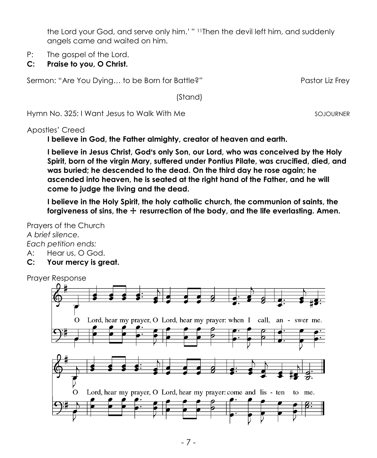the Lord your God, and serve only him.' " 11Then the devil left him, and suddenly angels came and waited on him.

- P: The gospel of the Lord.
- **C: Praise to you, O Christ.**

Sermon: "Are You Dying... to be Born for Battle?" The Pastor Liz Frey

(Stand)

Hymn No. 325: I Want Jesus to Walk With Me SOJOURNER

Apostles' Creed

**I believe in God, the Father almighty, creator of heaven and earth.**

**I believe in Jesus Christ, God's only Son, our Lord, who was conceived by the Holy Spirit, born of the virgin Mary, suffered under Pontius Pilate, was crucified, died, and was buried; he descended to the dead. On the third day he rose again; he ascended into heaven, he is seated at the right hand of the Father, and he will come to judge the living and the dead.**

**I believe in the Holy Spirit, the holy catholic church, the communion of saints, the**  forgiveness of sins, the  $+$  resurrection of the body, and the life everlasting. Amen.

Prayers of the Church *A brief silence. Each petition ends:*

A: Hear us, O God.

**C: Your mercy is great.**

Prayer Response

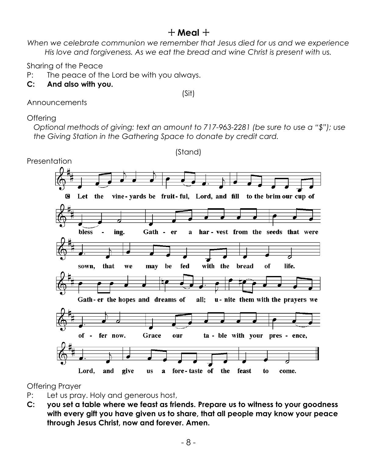# + **Meal** +

*When we celebrate communion we remember that Jesus died for us and we experience His love and forgiveness. As we eat the bread and wine Christ is present with us.*

Sharing of the Peace

P: The peace of the Lord be with you always.

**C: And also with you.**

(Sit)

Announcements

## **Offering**

*Optional methods of giving: text an amount to 717-963-2281 (be sure to use a "\$"); use the Giving Station in the Gathering Space to donate by credit card.*



Offering Prayer

- P: Let us pray. Holy and generous host,
- **C: you set a table where we feast as friends. Prepare us to witness to your goodness with every gift you have given us to share, that all people may know your peace through Jesus Christ, now and forever. Amen.**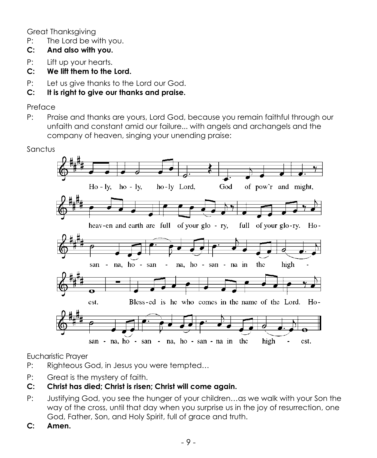Great Thanksgiving

- P: The Lord be with you.
- **C: And also with you.**
- P: Lift up your hearts.
- **C: We lift them to the Lord.**
- P: Let us give thanks to the Lord our God.
- **C: It is right to give our thanks and praise.**

### Preface

P: Praise and thanks are yours, Lord God, because you remain faithful through our unfaith and constant amid our failure... with angels and archangels and the company of heaven, singing your unending praise:



Eucharistic Prayer

- P: Righteous God, in Jesus you were tempted…
- P: Great is the mystery of faith.

# **C: Christ has died; Christ is risen; Christ will come again.**

- P: Justifying God, you see the hunger of your children…as we walk with your Son the way of the cross, until that day when you surprise us in the joy of resurrection, one God, Father, Son, and Holy Spirit, full of grace and truth.
- **C: Amen.**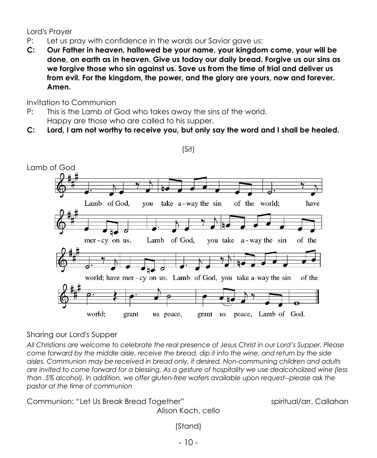Lord's Prayer

- P: Let us pray with confidence in the words our Savior gave us:
- **C: Our Father in heaven, hallowed be your name, your kingdom come, your will be done, on earth as in heaven. Give us today our daily bread. Forgive us our sins as we forgive those who sin against us. Save us from the time of trial and deliver us from evil. For the kingdom, the power, and the glory are yours, now and forever. Amen.**

Invitation to Communion

- P: This is the Lamb of God who takes away the sins of the world. Happy are those who are called to his supper.
- **C: Lord, I am not worthy to receive you, but only say the word and I shall be healed.**

(Sit)



#### Sharing our Lord's Supper

*All Christians are welcome to celebrate the real presence of Jesus Christ in our Lord's Supper. Please come forward by the middle aisle, receive the bread, dip it into the wine, and return by the side aisles. Communion may be received in bread only, if desired. Non-communing children and adults are invited to come forward for a blessing. As a gesture of hospitality we use dealcoholized wine (less than .5% alcohol). In addition, we offer gluten-free wafers available upon request--please ask the pastor at the time of communion*

Communion: "Let Us Break Bread Together" spiritual/arr. Callahan Alison Koch, cello

(Stand)

- 10 -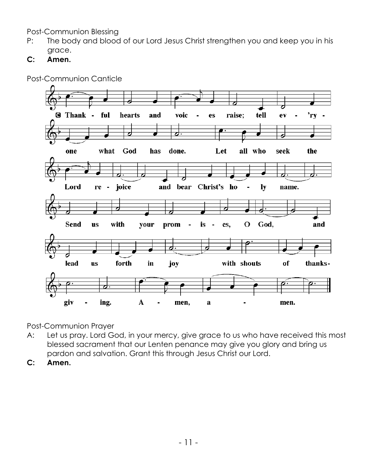Post-Communion Blessing

- P: The body and blood of our Lord Jesus Christ strengthen you and keep you in his grace.
- **C: Amen.**



Post-Communion Canticle

Post-Communion Prayer

- A: Let us pray. Lord God, in your mercy, give grace to us who have received this most blessed sacrament that our Lenten penance may give you glory and bring us pardon and salvation. Grant this through Jesus Christ our Lord.
- **C: Amen.**